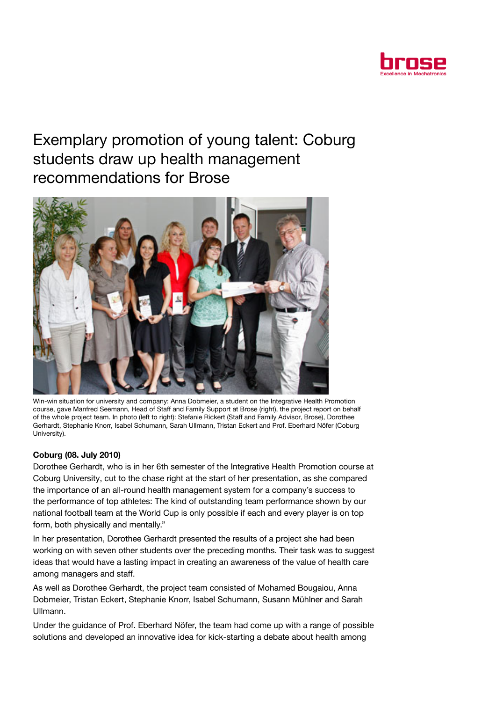

## Exemplary promotion of young talent: Coburg students draw up health management recommendations for Brose



Win-win situation for university and company: Anna Dobmeier, a student on the Integrative Health Promotion course, gave Manfred Seemann, Head of Staff and Family Support at Brose (right), the project report on behalf of the whole project team. In photo (left to right): Stefanie Rickert (Staff and Family Advisor, Brose), Dorothee Gerhardt, Stephanie Knorr, Isabel Schumann, Sarah Ullmann, Tristan Eckert and Prof. Eberhard Nöfer (Coburg University).

## Coburg (08. July 2010)

Dorothee Gerhardt, who is in her 6th semester of the Integrative Health Promotion course at Coburg University, cut to the chase right at the start of her presentation, as she compared the importance of an all-round health management system for a company's success to the performance of top athletes: The kind of outstanding team performance shown by our national football team at the World Cup is only possible if each and every player is on top form, both physically and mentally."

In her presentation, Dorothee Gerhardt presented the results of a project she had been working on with seven other students over the preceding months. Their task was to suggest ideas that would have a lasting impact in creating an awareness of the value of health care among managers and staff.

As well as Dorothee Gerhardt, the project team consisted of Mohamed Bougaiou, Anna Dobmeier, Tristan Eckert, Stephanie Knorr, Isabel Schumann, Susann Mühlner and Sarah Ullmann.

Under the guidance of Prof. Eberhard Nöfer, the team had come up with a range of possible solutions and developed an innovative idea for kick-starting a debate about health among